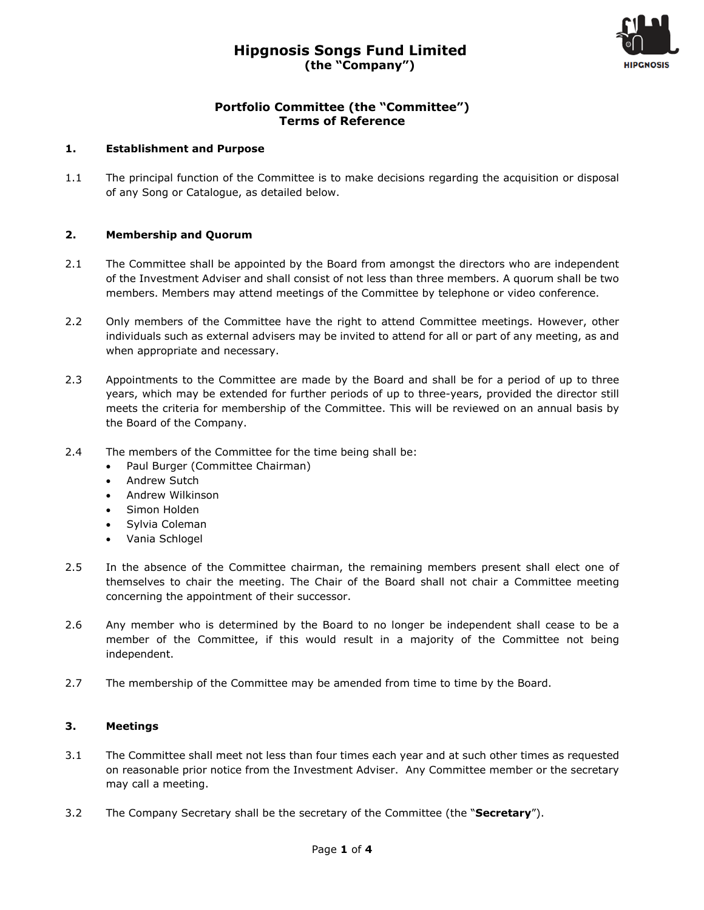

# **Portfolio Committee (the "Committee") Terms of Reference**

#### **1. Establishment and Purpose**

1.1 The principal function of the Committee is to make decisions regarding the acquisition or disposal of any Song or Catalogue, as detailed below.

## **2. Membership and Quorum**

- 2.1 The Committee shall be appointed by the Board from amongst the directors who are independent of the Investment Adviser and shall consist of not less than three members. A quorum shall be two members. Members may attend meetings of the Committee by telephone or video conference.
- 2.2 Only members of the Committee have the right to attend Committee meetings. However, other individuals such as external advisers may be invited to attend for all or part of any meeting, as and when appropriate and necessary.
- 2.3 Appointments to the Committee are made by the Board and shall be for a period of up to three years, which may be extended for further periods of up to three-years, provided the director still meets the criteria for membership of the Committee. This will be reviewed on an annual basis by the Board of the Company.
- 2.4 The members of the Committee for the time being shall be:
	- Paul Burger (Committee Chairman)
	- Andrew Sutch
	- Andrew Wilkinson
	- Simon Holden
	- Sylvia Coleman
	- Vania Schlogel
- 2.5 In the absence of the Committee chairman, the remaining members present shall elect one of themselves to chair the meeting. The Chair of the Board shall not chair a Committee meeting concerning the appointment of their successor.
- 2.6 Any member who is determined by the Board to no longer be independent shall cease to be a member of the Committee, if this would result in a majority of the Committee not being independent.
- 2.7 The membership of the Committee may be amended from time to time by the Board.

#### **3. Meetings**

- 3.1 The Committee shall meet not less than four times each year and at such other times as requested on reasonable prior notice from the Investment Adviser. Any Committee member or the secretary may call a meeting.
- 3.2 The Company Secretary shall be the secretary of the Committee (the "**Secretary**").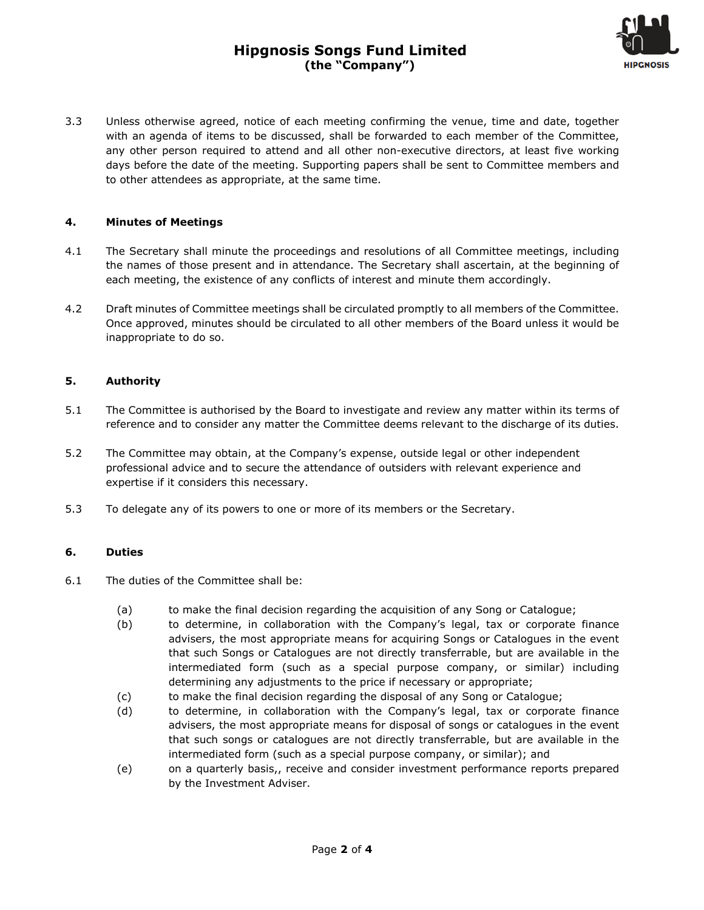# **Hipgnosis Songs Fund Limited (the "Company")**



3.3 Unless otherwise agreed, notice of each meeting confirming the venue, time and date, together with an agenda of items to be discussed, shall be forwarded to each member of the Committee, any other person required to attend and all other non-executive directors, at least five working days before the date of the meeting. Supporting papers shall be sent to Committee members and to other attendees as appropriate, at the same time.

### **4. Minutes of Meetings**

- 4.1 The Secretary shall minute the proceedings and resolutions of all Committee meetings, including the names of those present and in attendance. The Secretary shall ascertain, at the beginning of each meeting, the existence of any conflicts of interest and minute them accordingly.
- 4.2 Draft minutes of Committee meetings shall be circulated promptly to all members of the Committee. Once approved, minutes should be circulated to all other members of the Board unless it would be inappropriate to do so.

#### **5. Authority**

- 5.1 The Committee is authorised by the Board to investigate and review any matter within its terms of reference and to consider any matter the Committee deems relevant to the discharge of its duties.
- 5.2 The Committee may obtain, at the Company's expense, outside legal or other independent professional advice and to secure the attendance of outsiders with relevant experience and expertise if it considers this necessary.
- 5.3 To delegate any of its powers to one or more of its members or the Secretary.

#### **6. Duties**

- 6.1 The duties of the Committee shall be:
	- (a) to make the final decision regarding the acquisition of any Song or Catalogue;
	- (b) to determine, in collaboration with the Company's legal, tax or corporate finance advisers, the most appropriate means for acquiring Songs or Catalogues in the event that such Songs or Catalogues are not directly transferrable, but are available in the intermediated form (such as a special purpose company, or similar) including determining any adjustments to the price if necessary or appropriate;
	- (c) to make the final decision regarding the disposal of any Song or Catalogue;
	- (d) to determine, in collaboration with the Company's legal, tax or corporate finance advisers, the most appropriate means for disposal of songs or catalogues in the event that such songs or catalogues are not directly transferrable, but are available in the intermediated form (such as a special purpose company, or similar); and
	- (e) on a quarterly basis,, receive and consider investment performance reports prepared by the Investment Adviser.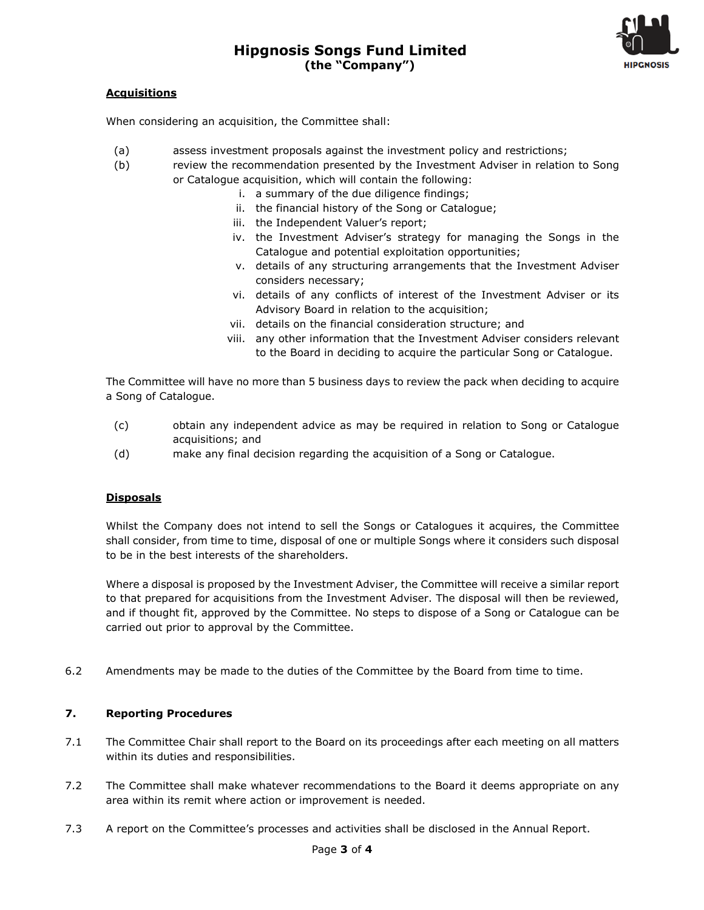

# **Acquisitions**

When considering an acquisition, the Committee shall:

- (a) assess investment proposals against the investment policy and restrictions;
- (b) review the recommendation presented by the Investment Adviser in relation to Song or Catalogue acquisition, which will contain the following:
	- i. a summary of the due diligence findings;
	- ii. the financial history of the Song or Catalogue;
	- iii. the Independent Valuer's report;
	- iv. the Investment Adviser's strategy for managing the Songs in the Catalogue and potential exploitation opportunities;
	- v. details of any structuring arrangements that the Investment Adviser considers necessary;
	- vi. details of any conflicts of interest of the Investment Adviser or its Advisory Board in relation to the acquisition;
	- vii. details on the financial consideration structure; and
	- viii. any other information that the Investment Adviser considers relevant to the Board in deciding to acquire the particular Song or Catalogue.

The Committee will have no more than 5 business days to review the pack when deciding to acquire a Song of Catalogue.

- (c) obtain any independent advice as may be required in relation to Song or Catalogue acquisitions; and
- (d) make any final decision regarding the acquisition of a Song or Catalogue.

#### **Disposals**

Whilst the Company does not intend to sell the Songs or Catalogues it acquires, the Committee shall consider, from time to time, disposal of one or multiple Songs where it considers such disposal to be in the best interests of the shareholders.

Where a disposal is proposed by the Investment Adviser, the Committee will receive a similar report to that prepared for acquisitions from the Investment Adviser. The disposal will then be reviewed, and if thought fit, approved by the Committee. No steps to dispose of a Song or Catalogue can be carried out prior to approval by the Committee.

6.2 Amendments may be made to the duties of the Committee by the Board from time to time.

## **7. Reporting Procedures**

- 7.1 The Committee Chair shall report to the Board on its proceedings after each meeting on all matters within its duties and responsibilities.
- 7.2 The Committee shall make whatever recommendations to the Board it deems appropriate on any area within its remit where action or improvement is needed.
- 7.3 A report on the Committee's processes and activities shall be disclosed in the Annual Report.